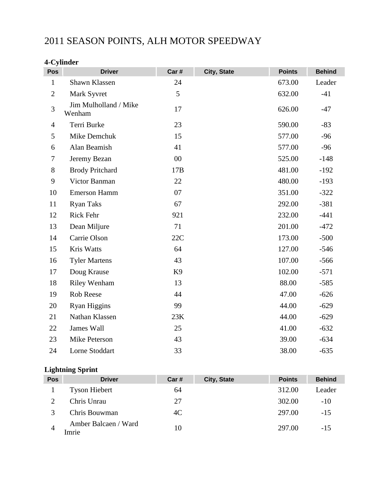# 2011 SEASON POINTS, ALH MOTOR SPEEDWAY

# **4-Cylinder**

| Pos            | <b>Driver</b>                   | Car#           | City, State | <b>Points</b> | <b>Behind</b> |
|----------------|---------------------------------|----------------|-------------|---------------|---------------|
| $\mathbf{1}$   | Shawn Klassen                   | 24             |             | 673.00        | Leader        |
| $\mathbf{2}$   | Mark Syvret                     | 5              |             | 632.00        | $-41$         |
| 3              | Jim Mulholland / Mike<br>Wenham | 17             |             | 626.00        | $-47$         |
| $\overline{4}$ | Terri Burke                     | 23             |             | 590.00        | $-83$         |
| 5              | Mike Demchuk                    | 15             |             | 577.00        | $-96$         |
| 6              | Alan Beamish                    | 41             |             | 577.00        | $-96$         |
| $\tau$         | Jeremy Bezan                    | 00             |             | 525.00        | $-148$        |
| 8              | <b>Brody Pritchard</b>          | 17B            |             | 481.00        | $-192$        |
| 9              | Victor Banman                   | 22             |             | 480.00        | $-193$        |
| 10             | <b>Emerson Hamm</b>             | 07             |             | 351.00        | $-322$        |
| 11             | <b>Ryan Taks</b>                | 67             |             | 292.00        | $-381$        |
| 12             | Rick Fehr                       | 921            |             | 232.00        | $-441$        |
| 13             | Dean Miljure                    | 71             |             | 201.00        | $-472$        |
| 14             | Carrie Olson                    | 22C            |             | 173.00        | $-500$        |
| 15             | Kris Watts                      | 64             |             | 127.00        | $-546$        |
| 16             | <b>Tyler Martens</b>            | 43             |             | 107.00        | $-566$        |
| 17             | Doug Krause                     | K <sub>9</sub> |             | 102.00        | $-571$        |
| 18             | <b>Riley Wenham</b>             | 13             |             | 88.00         | $-585$        |
| 19             | Rob Reese                       | 44             |             | 47.00         | $-626$        |
| 20             | Ryan Higgins                    | 99             |             | 44.00         | $-629$        |
| 21             | Nathan Klassen                  | 23K            |             | 44.00         | $-629$        |
| 22             | James Wall                      | 25             |             | 41.00         | $-632$        |
| 23             | Mike Peterson                   | 43             |             | 39.00         | $-634$        |
| 24             | Lorne Stoddart                  | 33             |             | 38.00         | $-635$        |

#### **Lightning Sprint**

| Pos | <b>Driver</b>                 | Car# | City, State | <b>Points</b> | <b>Behind</b> |
|-----|-------------------------------|------|-------------|---------------|---------------|
|     | <b>Tyson Hiebert</b>          | 64   |             | 312.00        | Leader        |
|     | Chris Unrau                   | 27   |             | 302.00        | $-10$         |
|     | Chris Bouwman                 | 4C   |             | 297.00        | $-1.5$        |
|     | Amber Balcaen / Ward<br>Imrie | 10   |             | 297.00        | $-15$         |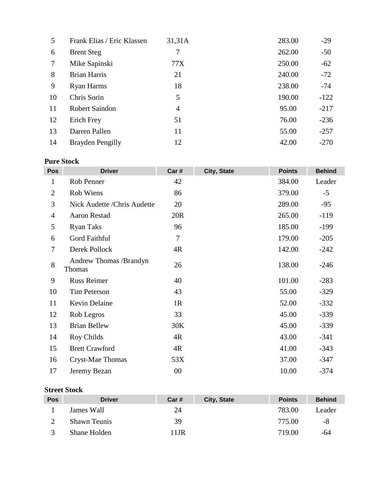| 5  | Frank Elias / Eric Klassen | 31,31A         | 283.00 | $-29$  |
|----|----------------------------|----------------|--------|--------|
| 6  | <b>Brent Steg</b>          | 7              | 262.00 | $-50$  |
| 7  | Mike Sapinski              | 77X            | 250.00 | $-62$  |
| 8  | <b>Brian Harris</b>        | 21             | 240.00 | $-72$  |
| 9  | Ryan Harms                 | 18             | 238.00 | $-74$  |
| 10 | Chris Sorin                | 5              | 190.00 | $-122$ |
| 11 | <b>Robert Saindon</b>      | $\overline{4}$ | 95.00  | $-217$ |
| 12 | Erich Frey                 | 51             | 76.00  | $-236$ |
| 13 | Darren Pallen              | 11             | 55.00  | $-257$ |
| 14 | Brayden Pengilly           | 12             | 42.00  | $-270$ |

# **Pure Stock**

| <b>Pos</b>     | <b>Driver</b>                    | Car#   | City, State | <b>Points</b> | <b>Behind</b> |
|----------------|----------------------------------|--------|-------------|---------------|---------------|
| 1              | Rob Penner                       | 42     |             | 384.00        | Leader        |
| $\overline{2}$ | Rob Wiens                        | 86     |             | 379.00        | $-5$          |
| 3              | Nick Audette /Chris Audette      | 20     |             | 289.00        | $-95$         |
| $\overline{4}$ | <b>Aaron Restad</b>              | 20R    |             | 265.00        | $-119$        |
| 5              | <b>Ryan Taks</b>                 | 96     |             | 185.00        | $-199$        |
| 6              | Gord Faithful                    | 7      |             | 179.00        | $-205$        |
| 7              | Derek Pollock                    | 4R     |             | 142.00        | $-242$        |
| 8              | Andrew Thomas /Brandyn<br>Thomas | 26     |             | 138.00        | $-246$        |
| 9              | <b>Russ Reimer</b>               | 40     |             | 101.00        | $-283$        |
| 10             | <b>Tim Peterson</b>              | 43     |             | 55.00         | $-329$        |
| 11             | Kevin Delaine                    | 1R     |             | 52.00         | $-332$        |
| 12             | Rob Legros                       | 33     |             | 45.00         | $-339$        |
| 13             | <b>Brian Bellew</b>              | 30K    |             | 45.00         | $-339$        |
| 14             | Roy Childs                       | 4R     |             | 43.00         | $-341$        |
| 15             | <b>Brett Crawford</b>            | 4R     |             | 41.00         | $-343$        |
| 16             | Cryst-Mae Thomas                 | 53X    |             | 37.00         | $-347$        |
| 17             | Jeremy Bezan                     | $00\,$ |             | 10.00         | $-374$        |

#### **Street Stock**

| <b>Pos</b> | <b>Driver</b>       | Car# | City, State | <b>Points</b> | <b>Behind</b> |
|------------|---------------------|------|-------------|---------------|---------------|
|            | James Wall          | 24   |             | 783.00        | Leader        |
|            | <b>Shawn Teunis</b> | 39   |             | 775.00        | -8            |
|            | Shane Holden        | 11JR |             | 719.00        | -64           |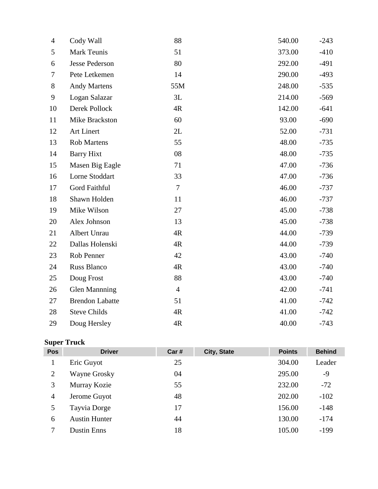| 4      | Cody Wall              | 88             | 540.00 | $-243$ |
|--------|------------------------|----------------|--------|--------|
| 5      | <b>Mark Teunis</b>     | 51             | 373.00 | $-410$ |
| 6      | <b>Jesse Pederson</b>  | 80             | 292.00 | $-491$ |
| $\tau$ | Pete Letkemen          | 14             | 290.00 | $-493$ |
| 8      | <b>Andy Martens</b>    | 55M            | 248.00 | $-535$ |
| 9      | Logan Salazar          | 3L             | 214.00 | $-569$ |
| 10     | Derek Pollock          | 4R             | 142.00 | $-641$ |
| 11     | Mike Brackston         | 60             | 93.00  | $-690$ |
| 12     | Art Linert             | 2L             | 52.00  | $-731$ |
| 13     | <b>Rob Martens</b>     | 55             | 48.00  | $-735$ |
| 14     | <b>Barry Hixt</b>      | 08             | 48.00  | $-735$ |
| 15     | Masen Big Eagle        | 71             | 47.00  | $-736$ |
| 16     | Lorne Stoddart         | 33             | 47.00  | $-736$ |
| 17     | Gord Faithful          | $\overline{7}$ | 46.00  | $-737$ |
| 18     | Shawn Holden           | 11             | 46.00  | $-737$ |
| 19     | Mike Wilson            | 27             | 45.00  | $-738$ |
| 20     | Alex Johnson           | 13             | 45.00  | $-738$ |
| 21     | Albert Unrau           | 4R             | 44.00  | $-739$ |
| 22     | Dallas Holenski        | 4R             | 44.00  | $-739$ |
| 23     | Rob Penner             | 42             | 43.00  | $-740$ |
| 24     | Russ Blanco            | 4R             | 43.00  | $-740$ |
| 25     | Doug Frost             | 88             | 43.00  | $-740$ |
| 26     | <b>Glen Manning</b>    | $\overline{4}$ | 42.00  | $-741$ |
| 27     | <b>Brendon Labatte</b> | 51             | 41.00  | $-742$ |
| 28     | <b>Steve Childs</b>    | 4R             | 41.00  | $-742$ |
| 29     | Doug Hersley           | 4R             | 40.00  | $-743$ |

# **Super Truck**

| Pos | <b>Driver</b>        | Car # | City, State | <b>Points</b> | <b>Behind</b> |
|-----|----------------------|-------|-------------|---------------|---------------|
| 1   | Eric Guyot           | 25    |             | 304.00        | Leader        |
| 2   | Wayne Grosky         | 04    |             | 295.00        | $-9$          |
| 3   | Murray Kozie         | 55    |             | 232.00        | $-72$         |
| 4   | Jerome Guyot         | 48    |             | 202.00        | $-102$        |
| 5   | Tayvia Dorge         | 17    |             | 156.00        | $-148$        |
| 6   | <b>Austin Hunter</b> | 44    |             | 130.00        | $-174$        |
|     | <b>Dustin Enns</b>   | 18    |             | 105.00        | $-199$        |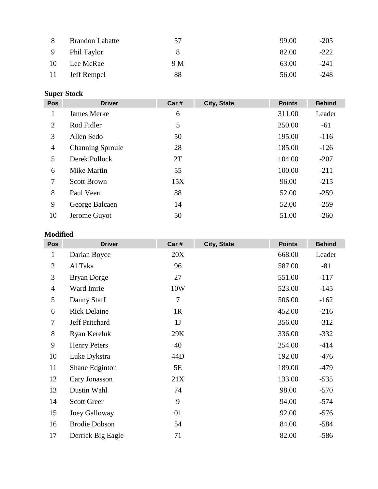| 8         | <b>Brandon Labatte</b> | 57  | 99.00 | $-205$ |
|-----------|------------------------|-----|-------|--------|
|           | 9 Phil Taylor          | 8   | 82.00 | $-222$ |
| <b>10</b> | Lee McRae              | 9 M | 63.00 | $-241$ |
| -11       | Jeff Rempel            | 88  | 56.00 | $-248$ |

### **Super Stock**

| <b>Pos</b>     | <b>Driver</b>           | Car # | City, State | <b>Points</b> | <b>Behind</b> |
|----------------|-------------------------|-------|-------------|---------------|---------------|
| 1              | <b>James Merke</b>      | 6     |             | 311.00        | Leader        |
| 2              | Rod Fidler              | 5     |             | 250.00        | $-61$         |
| 3              | Allen Sedo              | 50    |             | 195.00        | $-116$        |
| $\overline{4}$ | <b>Channing Sproule</b> | 28    |             | 185.00        | $-126$        |
| 5              | Derek Pollock           | 2T    |             | 104.00        | $-207$        |
| 6              | Mike Martin             | 55    |             | 100.00        | $-211$        |
| 7              | <b>Scott Brown</b>      | 15X   |             | 96.00         | $-215$        |
| 8              | Paul Veert              | 88    |             | 52.00         | $-259$        |
| 9              | George Balcaen          | 14    |             | 52.00         | $-259$        |
| 10             | Jerome Guyot            | 50    |             | 51.00         | $-260$        |
|                |                         |       |             |               |               |

#### **Modified**

| <b>Pos</b>     | <b>Driver</b>         | Car# | City, State | <b>Points</b> | <b>Behind</b> |
|----------------|-----------------------|------|-------------|---------------|---------------|
| $\mathbf{1}$   | Darian Boyce          | 20X  |             | 668.00        | Leader        |
| $\overline{2}$ | Al Taks               | 96   |             | 587.00        | $-81$         |
| 3              | <b>Bryan Dorge</b>    | 27   |             | 551.00        | $-117$        |
| $\overline{4}$ | Ward Imrie            | 10W  |             | 523.00        | $-145$        |
| 5              | Danny Staff           | 7    |             | 506.00        | $-162$        |
| 6              | <b>Rick Delaine</b>   | 1R   |             | 452.00        | $-216$        |
| 7              | <b>Jeff Pritchard</b> | 1J   |             | 356.00        | $-312$        |
| $8\,$          | <b>Ryan Kereluk</b>   | 29K  |             | 336.00        | $-332$        |
| 9              | <b>Henry Peters</b>   | 40   |             | 254.00        | $-414$        |
| 10             | Luke Dykstra          | 44D  |             | 192.00        | $-476$        |
| 11             | Shane Edginton        | 5E   |             | 189.00        | $-479$        |
| 12             | Cary Jonasson         | 21X  |             | 133.00        | $-535$        |
| 13             | Dustin Wahl           | 74   |             | 98.00         | $-570$        |
| 14             | <b>Scott Greer</b>    | 9    |             | 94.00         | $-574$        |
| 15             | Joey Galloway         | 01   |             | 92.00         | $-576$        |
| 16             | <b>Brodie Dobson</b>  | 54   |             | 84.00         | $-584$        |
| 17             | Derrick Big Eagle     | 71   |             | 82.00         | $-586$        |